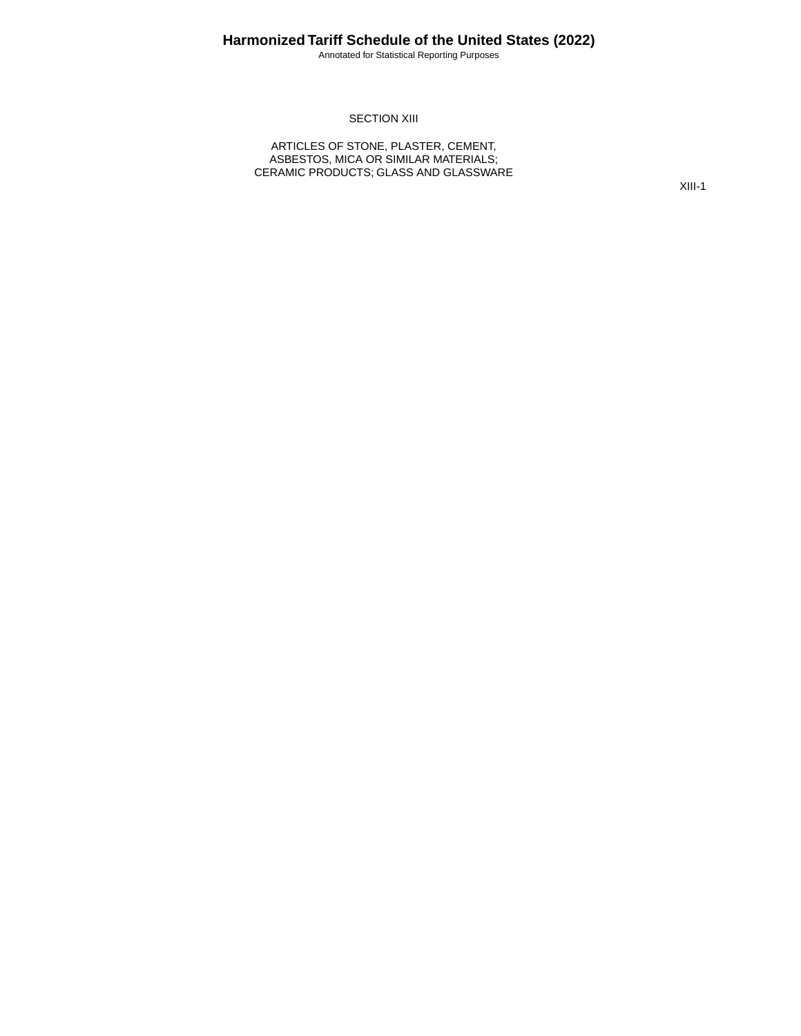Annotated for Statistical Reporting Purposes

#### **SECTION XIII**

ARTICLES OF STONE, PLASTER, CEMENT, ASBESTOS, MICA OR SIMILAR MATERIALS; CERAMIC PRODUCTS; GLASS AND GLASSWARE

XIII-1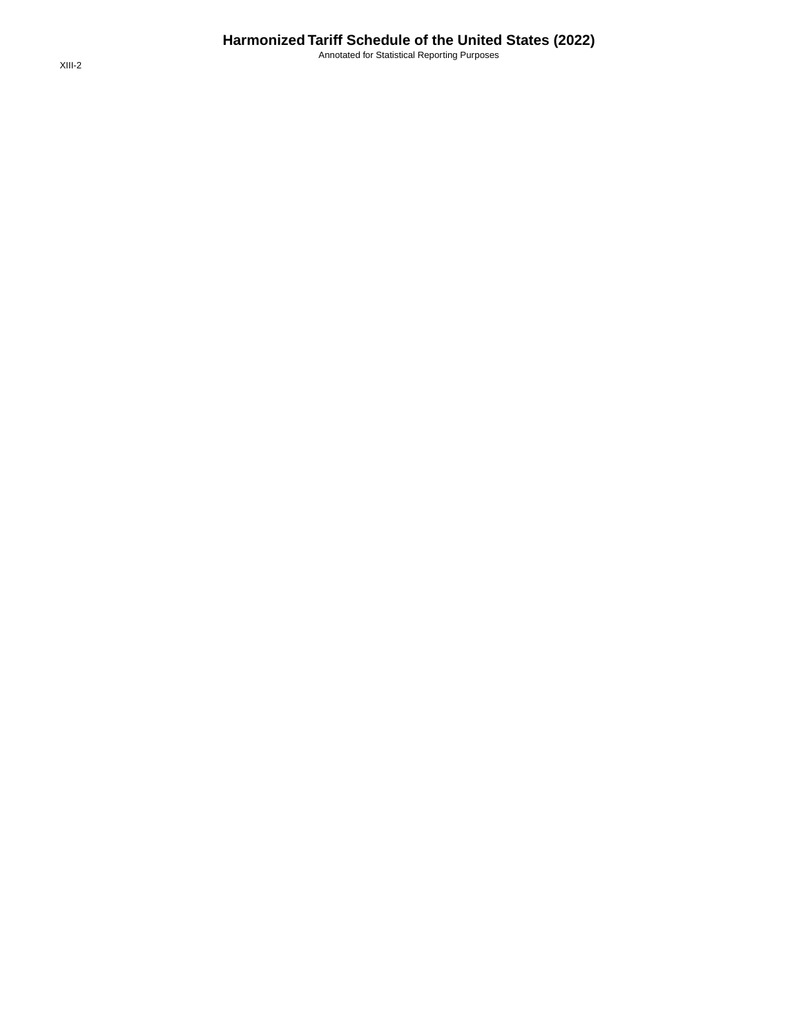Annotated for Statistical Reporting Purposes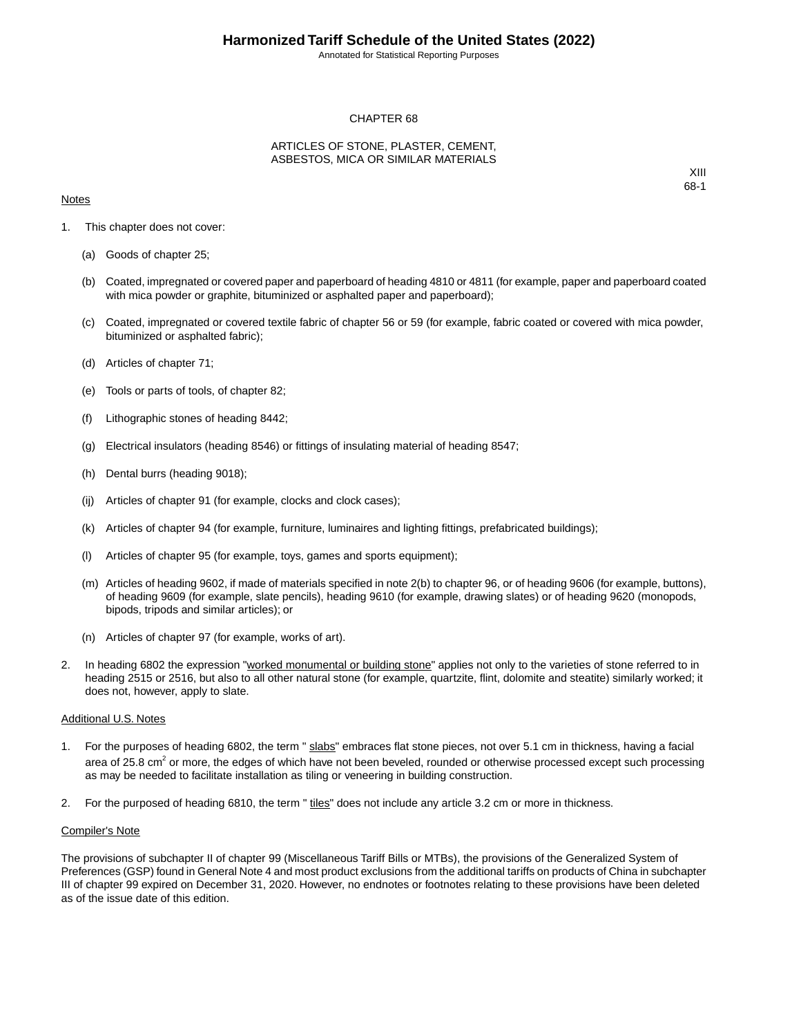Annotated for Statistical Reporting Purposes

#### CHAPTER 68

#### ARTICLES OF STONE, PLASTER, CEMENT, ASBESTOS, MICA OR SIMILAR MATERIALS

#### Notes

XIII 68-1

- 1. This chapter does not cover:
	- (a) Goods of chapter 25;
	- (b) Coated, impregnated or covered paper and paperboard of heading 4810 or 4811 (for example, paper and paperboard coated with mica powder or graphite, bituminized or asphalted paper and paperboard);
	- (c) Coated, impregnated or covered textile fabric of chapter 56 or 59 (for example, fabric coated or covered with mica powder, bituminized or asphalted fabric);
	- (d) Articles of chapter 71;
	- (e) Tools or parts of tools, of chapter 82;
	- (f) Lithographic stones of heading 8442;
	- (g) Electrical insulators (heading 8546) or fittings of insulating material of heading 8547;
	- (h) Dental burrs (heading 9018);
	- (ij) Articles of chapter 91 (for example, clocks and clock cases);
	- (k) Articles of chapter 94 (for example, furniture, luminaires and lighting fittings, prefabricated buildings);
	- (l) Articles of chapter 95 (for example, toys, games and sports equipment);
	- (m) Articles of heading 9602, if made of materials specified in note 2(b) to chapter 96, or of heading 9606 (for example, buttons), of heading 9609 (for example, slate pencils), heading 9610 (for example, drawing slates) or of heading 9620 (monopods, bipods, tripods and similar articles); or
	- (n) Articles of chapter 97 (for example, works of art).
- 2. In heading 6802 the expression "worked monumental or building stone" applies not only to the varieties of stone referred to in heading 2515 or 2516, but also to all other natural stone (for example, quartzite, flint, dolomite and steatite) similarly worked; it does not, however, apply to slate.

#### Additional U.S. Notes

- 1. For the purposes of heading 6802, the term " slabs" embraces flat stone pieces, not over 5.1 cm in thickness, having a facial area of 25.8 cm<sup>2</sup> or more, the edges of which have not been beveled, rounded or otherwise processed except such processing as may be needed to facilitate installation as tiling or veneering in building construction.
- 2. For the purposed of heading 6810, the term " tiles" does not include any article 3.2 cm or more in thickness.

#### Compiler's Note

The provisions of subchapter II of chapter 99 (Miscellaneous Tariff Bills or MTBs), the provisions of the Generalized System of Preferences (GSP) found in General Note 4 and most product exclusions from the additional tariffs on products of China in subchapter III of chapter 99 expired on December 31, 2020. However, no endnotes or footnotes relating to these provisions have been deleted as of the issue date of this edition.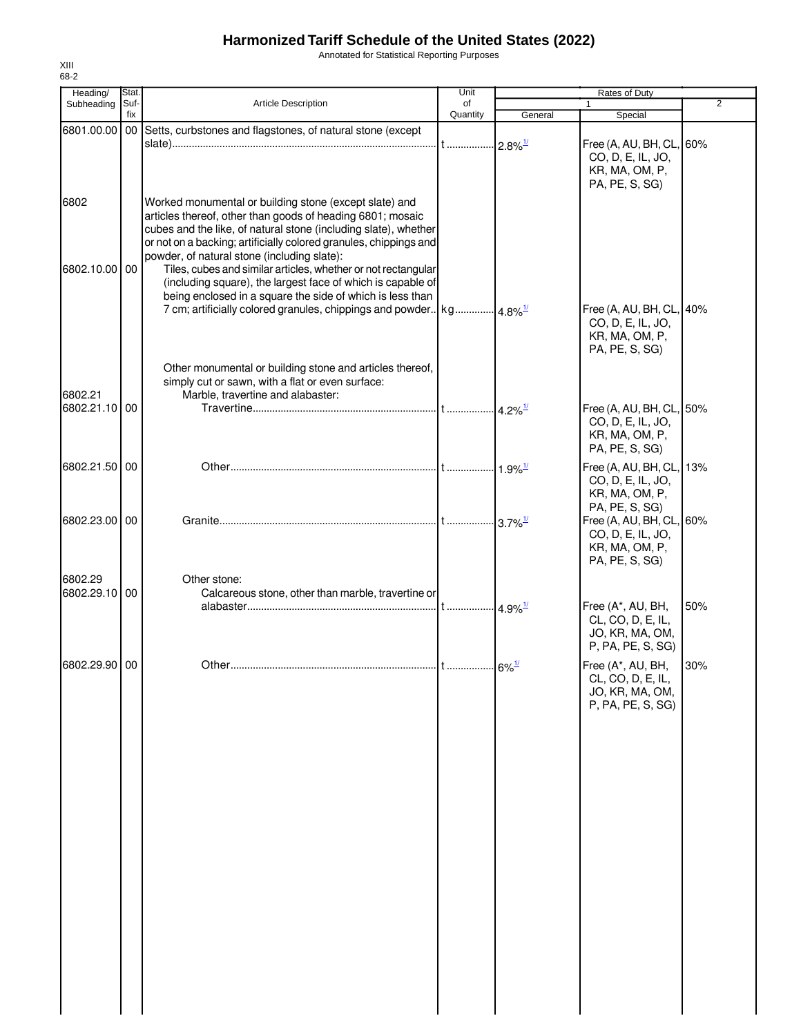Annotated for Statistical Reporting Purposes

| Heading/                 | Stat.           |                                                                                                                                                                                                                                                                                                                                | Unit           |                       | Rates of Duty                                                                     |                |
|--------------------------|-----------------|--------------------------------------------------------------------------------------------------------------------------------------------------------------------------------------------------------------------------------------------------------------------------------------------------------------------------------|----------------|-----------------------|-----------------------------------------------------------------------------------|----------------|
| Subheading               | Suf-<br>fix     | Article Description                                                                                                                                                                                                                                                                                                            | of<br>Quantity | General               | $\mathbf{1}$<br>Special                                                           | $\overline{2}$ |
| 6801.00.00               | 00 <sub>1</sub> | Setts, curbstones and flagstones, of natural stone (except                                                                                                                                                                                                                                                                     |                |                       |                                                                                   |                |
| 6802                     |                 | Worked monumental or building stone (except slate) and<br>articles thereof, other than goods of heading 6801; mosaic<br>cubes and the like, of natural stone (including slate), whether<br>or not on a backing; artificially colored granules, chippings and                                                                   |                | $2.8\%$ <sup>1/</sup> | Free (A, AU, BH, CL, 60%<br>CO, D, E, IL, JO,<br>KR, MA, OM, P,<br>PA, PE, S, SG) |                |
| 6802.10.00 00            |                 | powder, of natural stone (including slate):<br>Tiles, cubes and similar articles, whether or not rectangular<br>(including square), the largest face of which is capable of<br>being enclosed in a square the side of which is less than<br>7 cm; artificially colored granules, chippings and powder   kg  4.8% <sup>1/</sup> |                |                       | Free (A, AU, BH, CL, 40%<br>CO, D, E, IL, JO,<br>KR, MA, OM, P,<br>PA, PE, S, SG) |                |
| 6802.21                  |                 | Other monumental or building stone and articles thereof,<br>simply cut or sawn, with a flat or even surface:<br>Marble, travertine and alabaster:                                                                                                                                                                              |                |                       |                                                                                   |                |
| 6802.21.10 00            |                 |                                                                                                                                                                                                                                                                                                                                |                | $4.2\%$ <sup>1/</sup> | Free (A, AU, BH, CL, 50%<br>CO, D, E, IL, JO,<br>KR, MA, OM, P,<br>PA, PE, S, SG) |                |
| 6802.21.50 00            |                 |                                                                                                                                                                                                                                                                                                                                |                | . 1.9% <sup>1/</sup>  | Free (A, AU, BH, CL, 13%<br>CO, D, E, IL, JO,<br>KR, MA, OM, P,<br>PA, PE, S, SG) |                |
| 6802.23.00 00            |                 |                                                                                                                                                                                                                                                                                                                                |                | $3.7\%$ <sup>1/</sup> | Free (A, AU, BH, CL,<br>CO, D, E, IL, JO,<br>KR, MA, OM, P,<br>PA, PE, S, SG)     | ,60%           |
| 6802.29<br>6802.29.10 00 |                 | Other stone:<br>Calcareous stone, other than marble, travertine or                                                                                                                                                                                                                                                             |                |                       | Free (A*, AU, BH,<br>CL, CO, D, E, IL,<br>JO, KR, MA, OM,<br>P, PA, PE, S, SG)    | 50%            |
| 6802.29.90 00            |                 |                                                                                                                                                                                                                                                                                                                                |                | $-6\%$ <sup>1/</sup>  | Free (A*, AU, BH,<br>CL, CO, D, E, IL,<br>JO, KR, MA, OM,<br>P, PA, PE, S, SG)    | 30%            |
|                          |                 |                                                                                                                                                                                                                                                                                                                                |                |                       |                                                                                   |                |
|                          |                 |                                                                                                                                                                                                                                                                                                                                |                |                       |                                                                                   |                |
|                          |                 |                                                                                                                                                                                                                                                                                                                                |                |                       |                                                                                   |                |
|                          |                 |                                                                                                                                                                                                                                                                                                                                |                |                       |                                                                                   |                |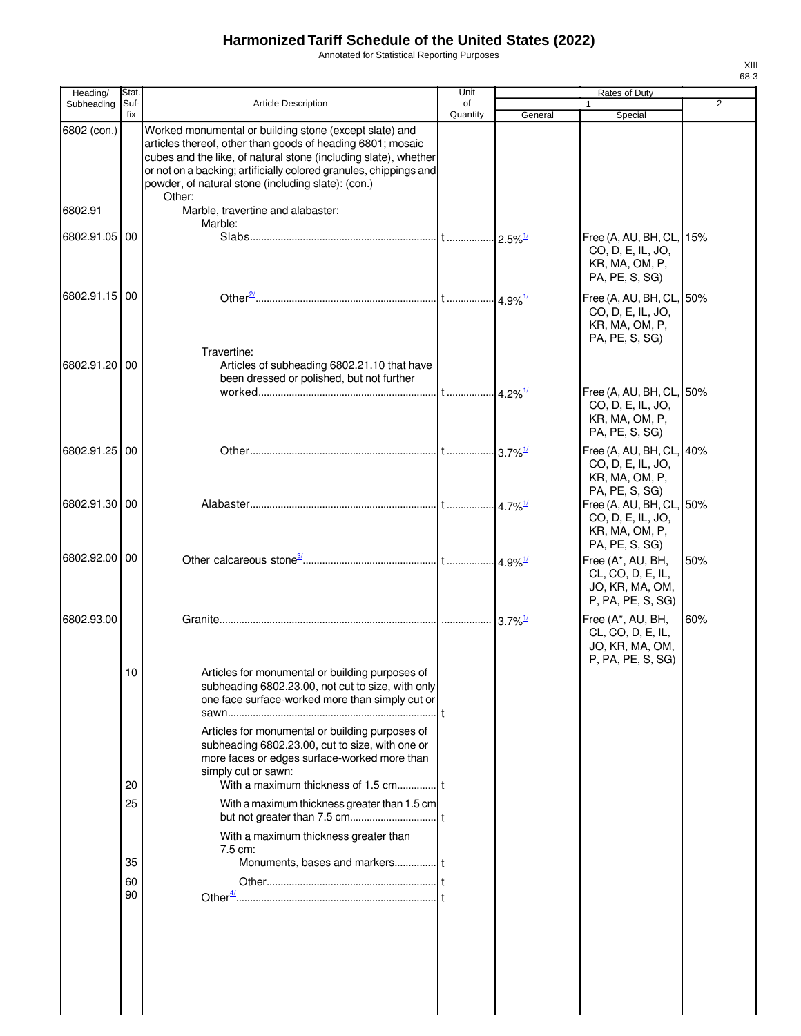Annotated for Statistical Reporting Purposes

| Heading/      | Stat.       |                                                                                                                                                                                                                                                                                                                              | Unit           | <b>Rates of Duty</b>  |                                                                                                     |                |
|---------------|-------------|------------------------------------------------------------------------------------------------------------------------------------------------------------------------------------------------------------------------------------------------------------------------------------------------------------------------------|----------------|-----------------------|-----------------------------------------------------------------------------------------------------|----------------|
| Subheading    | Suf-<br>fix | <b>Article Description</b>                                                                                                                                                                                                                                                                                                   | of<br>Quantity | General               | 1<br>Special                                                                                        | $\overline{2}$ |
| 6802 (con.)   |             | Worked monumental or building stone (except slate) and<br>articles thereof, other than goods of heading 6801; mosaic<br>cubes and the like, of natural stone (including slate), whether<br>or not on a backing; artificially colored granules, chippings and<br>powder, of natural stone (including slate): (con.)<br>Other: |                |                       |                                                                                                     |                |
| 6802.91       |             | Marble, travertine and alabaster:<br>Marble:                                                                                                                                                                                                                                                                                 |                |                       |                                                                                                     |                |
| 6802.91.05 00 |             |                                                                                                                                                                                                                                                                                                                              |                |                       | Free (A, AU, BH, CL,<br>CO, D, E, IL, JO,<br>KR, MA, OM, P,<br>PA, PE, S, SG)                       | 15%            |
| 6802.91.15 00 |             |                                                                                                                                                                                                                                                                                                                              |                | $4.9\%$ <sup>1/</sup> | Free (A, AU, BH, CL, 50%<br>CO, D, E, IL, JO,<br>KR, MA, OM, P,<br>PA, PE, S, SG)                   |                |
| 6802.91.20 00 |             | Travertine:<br>Articles of subheading 6802.21.10 that have<br>been dressed or polished, but not further                                                                                                                                                                                                                      |                | $4.2\%$ <sup>1/</sup> | Free (A, AU, BH, CL, 50%<br>CO, D, E, IL, JO,                                                       |                |
|               |             |                                                                                                                                                                                                                                                                                                                              |                |                       | KR, MA, OM, P,<br>PA, PE, S, SG)                                                                    |                |
| 6802.91.25 00 |             |                                                                                                                                                                                                                                                                                                                              |                |                       | Free (A, AU, BH, CL, 40%<br>CO, D, E, IL, JO,<br>KR, MA, OM, P,                                     |                |
| 6802.91.30 00 |             |                                                                                                                                                                                                                                                                                                                              |                |                       | PA, PE, S, SG)<br>Free (A, AU, BH, CL, 50%<br>CO, D, E, IL, JO,<br>KR, MA, OM, P,<br>PA, PE, S, SG) |                |
| 6802.92.00 00 |             |                                                                                                                                                                                                                                                                                                                              |                |                       | Free (A*, AU, BH,<br>CL, CO, D, E, IL,<br>JO, KR, MA, OM,<br>P, PA, PE, S, SG)                      | 50%            |
| 6802.93.00    |             |                                                                                                                                                                                                                                                                                                                              |                | $3.7\%$ <sup>1/</sup> | Free (A*, AU, BH,<br>CL, CO, D, E, IL,<br>JO, KR, MA, OM,<br>P, PA, PE, S, SG)                      | 60%            |
|               | 1υ          | Articles for monumental or building purposes of<br>subheading 6802.23.00, not cut to size, with only<br>one face surface-worked more than simply cut or                                                                                                                                                                      |                |                       |                                                                                                     |                |
|               | 20          | Articles for monumental or building purposes of<br>subheading 6802.23.00, cut to size, with one or<br>more faces or edges surface-worked more than<br>simply cut or sawn:<br>With a maximum thickness of 1.5 cm It                                                                                                           |                |                       |                                                                                                     |                |
|               | 25          | With a maximum thickness greater than 1.5 cm                                                                                                                                                                                                                                                                                 |                |                       |                                                                                                     |                |
|               | 35          | With a maximum thickness greater than<br>7.5 cm:                                                                                                                                                                                                                                                                             |                |                       |                                                                                                     |                |
|               | 60<br>90    |                                                                                                                                                                                                                                                                                                                              |                |                       |                                                                                                     |                |
|               |             |                                                                                                                                                                                                                                                                                                                              |                |                       |                                                                                                     |                |
|               |             |                                                                                                                                                                                                                                                                                                                              |                |                       |                                                                                                     |                |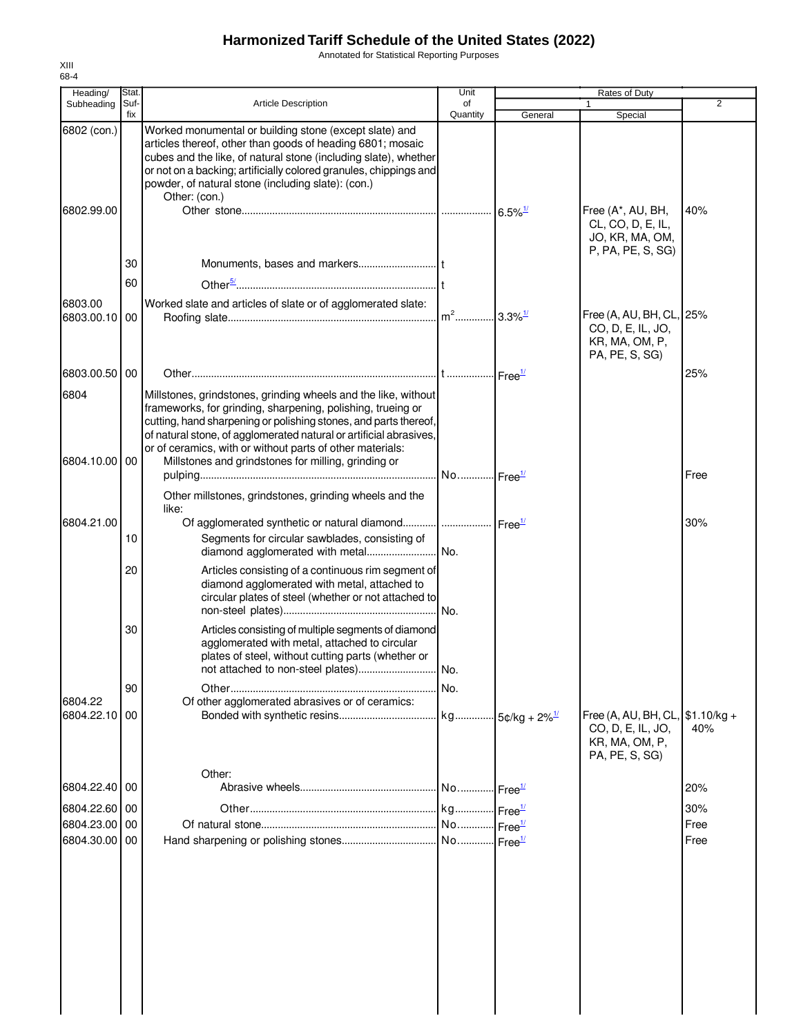Annotated for Statistical Reporting Purposes

| Heading/                       | Stat.       |                                                                                                                                                                                                                                                                                                                                                                                             | Unit                                           |                              | Rates of Duty                                                                              |                |
|--------------------------------|-------------|---------------------------------------------------------------------------------------------------------------------------------------------------------------------------------------------------------------------------------------------------------------------------------------------------------------------------------------------------------------------------------------------|------------------------------------------------|------------------------------|--------------------------------------------------------------------------------------------|----------------|
| Subheading                     | Suf-<br>fix | Article Description                                                                                                                                                                                                                                                                                                                                                                         | of<br>Quantity                                 | General                      | Special                                                                                    | $\overline{2}$ |
| 6802 (con.)                    |             | Worked monumental or building stone (except slate) and<br>articles thereof, other than goods of heading 6801; mosaic<br>cubes and the like, of natural stone (including slate), whether<br>or not on a backing; artificially colored granules, chippings and<br>powder, of natural stone (including slate): (con.)<br>Other: (con.)                                                         |                                                |                              |                                                                                            |                |
| 6802.99.00                     |             |                                                                                                                                                                                                                                                                                                                                                                                             |                                                |                              | Free (A*, AU, BH,<br>CL, CO, D, E, IL,<br>JO, KR, MA, OM,<br>P, PA, PE, S, SG)             | 40%            |
|                                | 30          |                                                                                                                                                                                                                                                                                                                                                                                             |                                                |                              |                                                                                            |                |
|                                | 60          |                                                                                                                                                                                                                                                                                                                                                                                             |                                                |                              |                                                                                            |                |
| 6803.00<br>6803.00.10          | 00          | Worked slate and articles of slate or of agglomerated slate:                                                                                                                                                                                                                                                                                                                                |                                                | $.33\%$ <sup>1/</sup>        | Free (A, AU, BH, CL, 25%<br>CO, D, E, IL, JO,<br>KR, MA, OM, P,<br>PA, PE, S, SG)          |                |
| 6803.00.50 00                  |             |                                                                                                                                                                                                                                                                                                                                                                                             |                                                |                              |                                                                                            | 25%            |
| 6804<br>6804.10.00             | 00          | Millstones, grindstones, grinding wheels and the like, without<br>frameworks, for grinding, sharpening, polishing, trueing or<br>cutting, hand sharpening or polishing stones, and parts thereof,<br>of natural stone, of agglomerated natural or artificial abrasives,<br>or of ceramics, with or without parts of other materials:<br>Millstones and grindstones for milling, grinding or |                                                |                              |                                                                                            |                |
|                                |             | Other millstones, grindstones, grinding wheels and the                                                                                                                                                                                                                                                                                                                                      | No Free <sup>1/</sup>                          |                              |                                                                                            | Free           |
| 6804.21.00                     | 10          | like:<br>Of agglomerated synthetic or natural diamond   Free <sup>1/</sup><br>Segments for circular sawblades, consisting of                                                                                                                                                                                                                                                                |                                                |                              |                                                                                            | 30%            |
|                                | 20          | Articles consisting of a continuous rim segment of<br>diamond agglomerated with metal, attached to<br>circular plates of steel (whether or not attached to                                                                                                                                                                                                                                  |                                                |                              |                                                                                            |                |
|                                | 30          | Articles consisting of multiple segments of diamond<br>agglomerated with metal, attached to circular<br>plates of steel, without cutting parts (whether or                                                                                                                                                                                                                                  |                                                |                              |                                                                                            |                |
|                                | 90          |                                                                                                                                                                                                                                                                                                                                                                                             | No.                                            |                              |                                                                                            |                |
| 6804.22                        |             | Of other agglomerated abrasives or of ceramics:                                                                                                                                                                                                                                                                                                                                             |                                                |                              |                                                                                            |                |
| 6804.22.10 00                  |             |                                                                                                                                                                                                                                                                                                                                                                                             |                                                | $-5$ ¢/kg + 2% $\frac{1}{2}$ | Free (A, AU, BH, CL, $$1.10/kg +$<br>CO, D, E, IL, JO,<br>KR, MA, OM, P,<br>PA, PE, S, SG) | 40%            |
| 6804.22.40 00                  |             | Other:                                                                                                                                                                                                                                                                                                                                                                                      | No Free <sup>1/</sup>                          |                              |                                                                                            | 20%            |
|                                |             |                                                                                                                                                                                                                                                                                                                                                                                             |                                                |                              |                                                                                            |                |
| 6804.22.60 00<br>6804.23.00 00 |             |                                                                                                                                                                                                                                                                                                                                                                                             | kg Free <sup>1/</sup><br>No Free <sup>1/</sup> |                              |                                                                                            | 30%<br>Free    |
| 6804.30.00                     | 00          |                                                                                                                                                                                                                                                                                                                                                                                             | No Free <sup>1/</sup>                          |                              |                                                                                            | Free           |
|                                |             |                                                                                                                                                                                                                                                                                                                                                                                             |                                                |                              |                                                                                            |                |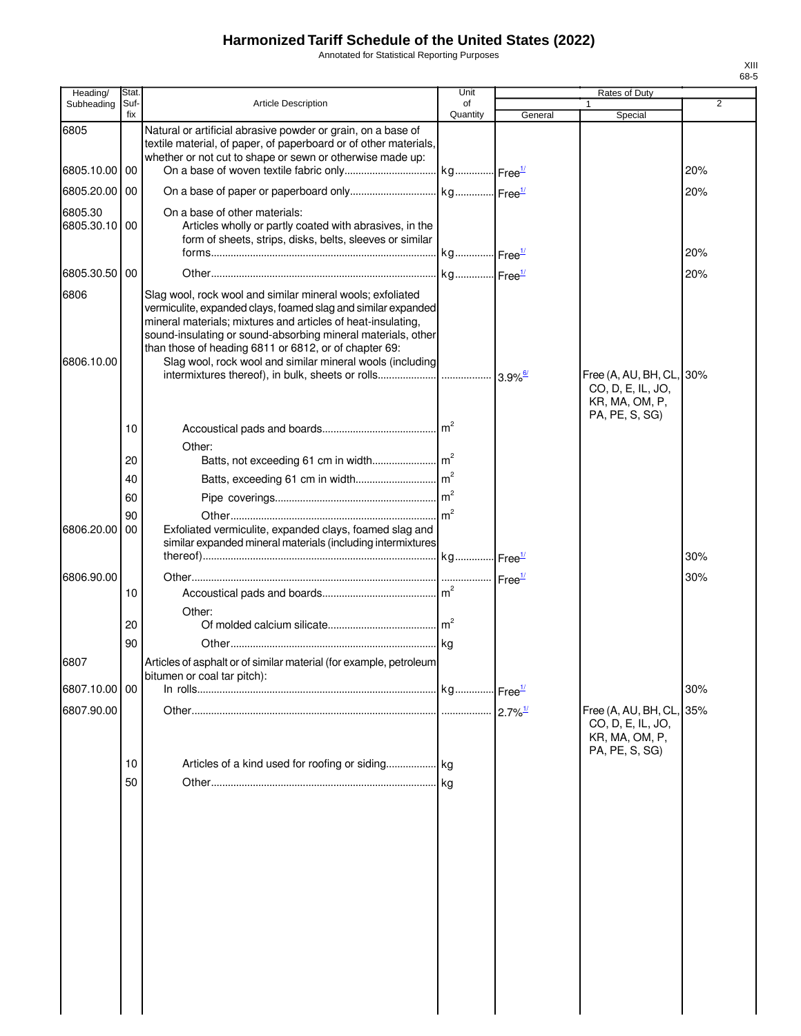Annotated for Statistical Reporting Purposes

| Subheading<br>Suf-<br><b>Article Description</b><br>οf<br>1<br>fix<br>Quantity<br>General<br>Special<br>6805<br>Natural or artificial abrasive powder or grain, on a base of<br>textile material, of paper, of paperboard or of other materials,<br>whether or not cut to shape or sewn or otherwise made up:<br>6805.10.00 00<br>20%<br>6805.20.00<br>00<br>20%<br>6805.30<br>On a base of other materials:<br>6805.30.10 00<br>Articles wholly or partly coated with abrasives, in the<br>form of sheets, strips, disks, belts, sleeves or similar<br>20%<br>6805.30.50<br>00<br>20%<br>6806<br>Slag wool, rock wool and similar mineral wools; exfoliated<br>vermiculite, expanded clays, foamed slag and similar expanded<br>mineral materials; mixtures and articles of heat-insulating,<br>sound-insulating or sound-absorbing mineral materials, other<br>than those of heading 6811 or 6812, or of chapter 69:<br>6806.10.00<br>Slag wool, rock wool and similar mineral wools (including<br>Free (A, AU, BH, CL, 30%<br>CO, D, E, IL, JO,<br>KR, MA, OM, P,<br>PA, PE, S, SG)<br>10<br>Other:<br>20<br>40<br>60<br>90<br>Exfoliated vermiculite, expanded clays, foamed slag and<br>6806.20.00<br>00<br>similar expanded mineral materials (including intermixtures<br>30%<br>6806.90.00<br>30%<br>10<br>Other: | Heading/ | Stat. | Unit | Rates of Duty |                |
|--------------------------------------------------------------------------------------------------------------------------------------------------------------------------------------------------------------------------------------------------------------------------------------------------------------------------------------------------------------------------------------------------------------------------------------------------------------------------------------------------------------------------------------------------------------------------------------------------------------------------------------------------------------------------------------------------------------------------------------------------------------------------------------------------------------------------------------------------------------------------------------------------------------------------------------------------------------------------------------------------------------------------------------------------------------------------------------------------------------------------------------------------------------------------------------------------------------------------------------------------------------------------------------------------------------------------|----------|-------|------|---------------|----------------|
|                                                                                                                                                                                                                                                                                                                                                                                                                                                                                                                                                                                                                                                                                                                                                                                                                                                                                                                                                                                                                                                                                                                                                                                                                                                                                                                          |          |       |      |               | $\overline{2}$ |
|                                                                                                                                                                                                                                                                                                                                                                                                                                                                                                                                                                                                                                                                                                                                                                                                                                                                                                                                                                                                                                                                                                                                                                                                                                                                                                                          |          |       |      |               |                |
|                                                                                                                                                                                                                                                                                                                                                                                                                                                                                                                                                                                                                                                                                                                                                                                                                                                                                                                                                                                                                                                                                                                                                                                                                                                                                                                          |          |       |      |               |                |
|                                                                                                                                                                                                                                                                                                                                                                                                                                                                                                                                                                                                                                                                                                                                                                                                                                                                                                                                                                                                                                                                                                                                                                                                                                                                                                                          |          |       |      |               |                |
|                                                                                                                                                                                                                                                                                                                                                                                                                                                                                                                                                                                                                                                                                                                                                                                                                                                                                                                                                                                                                                                                                                                                                                                                                                                                                                                          |          |       |      |               |                |
|                                                                                                                                                                                                                                                                                                                                                                                                                                                                                                                                                                                                                                                                                                                                                                                                                                                                                                                                                                                                                                                                                                                                                                                                                                                                                                                          |          |       |      |               |                |
|                                                                                                                                                                                                                                                                                                                                                                                                                                                                                                                                                                                                                                                                                                                                                                                                                                                                                                                                                                                                                                                                                                                                                                                                                                                                                                                          |          |       |      |               |                |
|                                                                                                                                                                                                                                                                                                                                                                                                                                                                                                                                                                                                                                                                                                                                                                                                                                                                                                                                                                                                                                                                                                                                                                                                                                                                                                                          |          |       |      |               |                |
|                                                                                                                                                                                                                                                                                                                                                                                                                                                                                                                                                                                                                                                                                                                                                                                                                                                                                                                                                                                                                                                                                                                                                                                                                                                                                                                          |          |       |      |               |                |
|                                                                                                                                                                                                                                                                                                                                                                                                                                                                                                                                                                                                                                                                                                                                                                                                                                                                                                                                                                                                                                                                                                                                                                                                                                                                                                                          |          |       |      |               |                |
|                                                                                                                                                                                                                                                                                                                                                                                                                                                                                                                                                                                                                                                                                                                                                                                                                                                                                                                                                                                                                                                                                                                                                                                                                                                                                                                          |          |       |      |               |                |
|                                                                                                                                                                                                                                                                                                                                                                                                                                                                                                                                                                                                                                                                                                                                                                                                                                                                                                                                                                                                                                                                                                                                                                                                                                                                                                                          |          |       |      |               |                |
|                                                                                                                                                                                                                                                                                                                                                                                                                                                                                                                                                                                                                                                                                                                                                                                                                                                                                                                                                                                                                                                                                                                                                                                                                                                                                                                          |          |       |      |               |                |
|                                                                                                                                                                                                                                                                                                                                                                                                                                                                                                                                                                                                                                                                                                                                                                                                                                                                                                                                                                                                                                                                                                                                                                                                                                                                                                                          |          |       |      |               |                |
|                                                                                                                                                                                                                                                                                                                                                                                                                                                                                                                                                                                                                                                                                                                                                                                                                                                                                                                                                                                                                                                                                                                                                                                                                                                                                                                          |          |       |      |               |                |
|                                                                                                                                                                                                                                                                                                                                                                                                                                                                                                                                                                                                                                                                                                                                                                                                                                                                                                                                                                                                                                                                                                                                                                                                                                                                                                                          |          |       |      |               |                |
|                                                                                                                                                                                                                                                                                                                                                                                                                                                                                                                                                                                                                                                                                                                                                                                                                                                                                                                                                                                                                                                                                                                                                                                                                                                                                                                          |          | 20    |      |               |                |
| 90                                                                                                                                                                                                                                                                                                                                                                                                                                                                                                                                                                                                                                                                                                                                                                                                                                                                                                                                                                                                                                                                                                                                                                                                                                                                                                                       |          |       |      |               |                |
| 6807<br>Articles of asphalt or of similar material (for example, petroleum<br>bitumen or coal tar pitch):                                                                                                                                                                                                                                                                                                                                                                                                                                                                                                                                                                                                                                                                                                                                                                                                                                                                                                                                                                                                                                                                                                                                                                                                                |          |       |      |               |                |
| 6807.10.00 00<br>30%                                                                                                                                                                                                                                                                                                                                                                                                                                                                                                                                                                                                                                                                                                                                                                                                                                                                                                                                                                                                                                                                                                                                                                                                                                                                                                     |          |       |      |               |                |
| 6807.90.00<br>35%<br>$2.7\%$ <sup>1/</sup><br>Free (A, AU, BH, CL,<br>CO, D, E, IL, JO,<br>KR, MA, OM, P,<br>PA, PE, S, SG)                                                                                                                                                                                                                                                                                                                                                                                                                                                                                                                                                                                                                                                                                                                                                                                                                                                                                                                                                                                                                                                                                                                                                                                              |          |       |      |               |                |
| 10                                                                                                                                                                                                                                                                                                                                                                                                                                                                                                                                                                                                                                                                                                                                                                                                                                                                                                                                                                                                                                                                                                                                                                                                                                                                                                                       |          |       |      |               |                |
| 50                                                                                                                                                                                                                                                                                                                                                                                                                                                                                                                                                                                                                                                                                                                                                                                                                                                                                                                                                                                                                                                                                                                                                                                                                                                                                                                       |          |       |      |               |                |
|                                                                                                                                                                                                                                                                                                                                                                                                                                                                                                                                                                                                                                                                                                                                                                                                                                                                                                                                                                                                                                                                                                                                                                                                                                                                                                                          |          |       |      |               |                |
|                                                                                                                                                                                                                                                                                                                                                                                                                                                                                                                                                                                                                                                                                                                                                                                                                                                                                                                                                                                                                                                                                                                                                                                                                                                                                                                          |          |       |      |               |                |
|                                                                                                                                                                                                                                                                                                                                                                                                                                                                                                                                                                                                                                                                                                                                                                                                                                                                                                                                                                                                                                                                                                                                                                                                                                                                                                                          |          |       |      |               |                |
|                                                                                                                                                                                                                                                                                                                                                                                                                                                                                                                                                                                                                                                                                                                                                                                                                                                                                                                                                                                                                                                                                                                                                                                                                                                                                                                          |          |       |      |               |                |
|                                                                                                                                                                                                                                                                                                                                                                                                                                                                                                                                                                                                                                                                                                                                                                                                                                                                                                                                                                                                                                                                                                                                                                                                                                                                                                                          |          |       |      |               |                |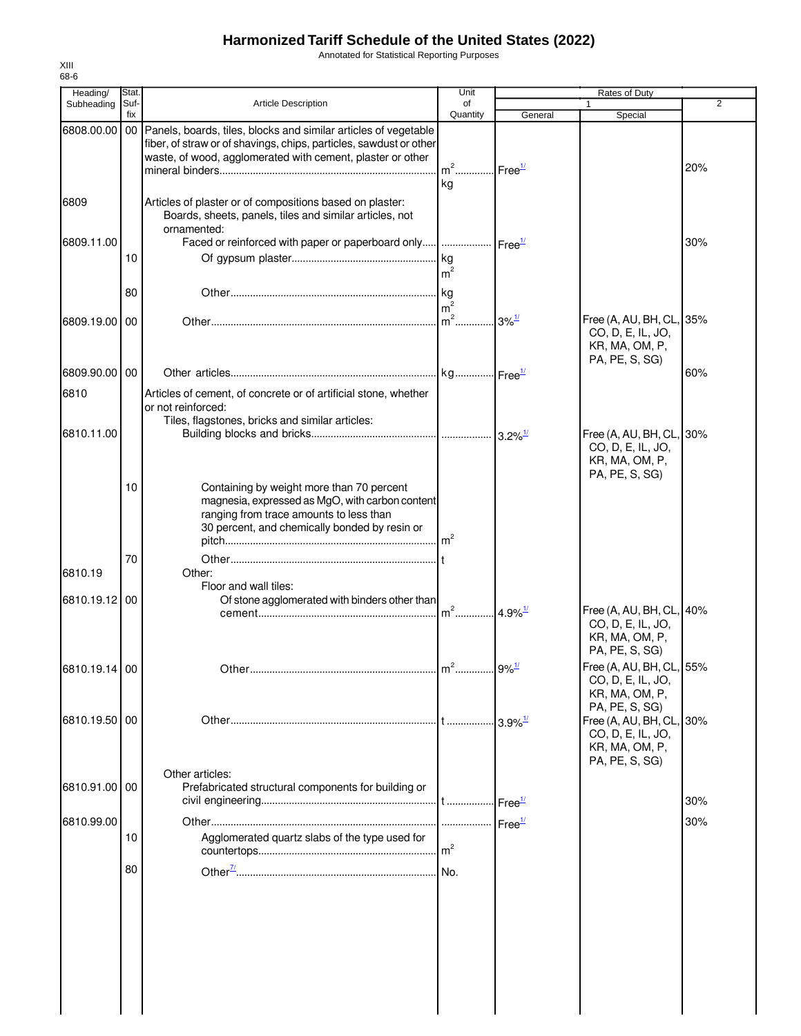Annotated for Statistical Reporting Purposes

| Heading/      | Stat.       |                                                                                                                                                                                                        | Unit                             |                                            | Rates of Duty                                                                                       |                |
|---------------|-------------|--------------------------------------------------------------------------------------------------------------------------------------------------------------------------------------------------------|----------------------------------|--------------------------------------------|-----------------------------------------------------------------------------------------------------|----------------|
| Subheading    | Suf-<br>fix | <b>Article Description</b>                                                                                                                                                                             | of<br>Quantity                   |                                            |                                                                                                     | $\overline{2}$ |
| 6808.00.00    |             | 00 Panels, boards, tiles, blocks and similar articles of vegetable<br>fiber, of straw or of shavings, chips, particles, sawdust or other<br>waste, of wood, agglomerated with cement, plaster or other | $m^2$<br>kg                      | General<br>$\mathsf{I}$ Free $\frac{1}{2}$ | Special                                                                                             | 20%            |
| 6809          |             | Articles of plaster or of compositions based on plaster:<br>Boards, sheets, panels, tiles and similar articles, not<br>ornamented:                                                                     |                                  |                                            |                                                                                                     |                |
| 6809.11.00    | 10          | Faced or reinforced with paper or paperboard only  Free <sup>1/</sup>                                                                                                                                  |                                  |                                            |                                                                                                     | 30%            |
|               | 80          |                                                                                                                                                                                                        | m <sup>2</sup><br>m <sup>2</sup> |                                            |                                                                                                     |                |
| 6809.19.00 00 |             |                                                                                                                                                                                                        |                                  | $3\%$ <sup>1/</sup>                        | Free (A, AU, BH, CL, 35%<br>CO, D, E, IL, JO,<br>KR, MA, OM, P,<br>PA, PE, S, SG)                   |                |
| 6809.90.00    | 00          |                                                                                                                                                                                                        |                                  |                                            |                                                                                                     | 60%            |
| 6810          |             | Articles of cement, of concrete or of artificial stone, whether<br>or not reinforced:<br>Tiles, flagstones, bricks and similar articles:                                                               |                                  |                                            |                                                                                                     |                |
| 6810.11.00    |             |                                                                                                                                                                                                        |                                  |                                            | Free (A, AU, BH, CL, 30%<br>CO, D, E, IL, JO,<br>KR, MA, OM, P,<br>PA, PE, S, SG)                   |                |
|               | 10          | Containing by weight more than 70 percent<br>magnesia, expressed as MgO, with carbon content<br>ranging from trace amounts to less than<br>30 percent, and chemically bonded by resin or               |                                  |                                            |                                                                                                     |                |
|               | 70          |                                                                                                                                                                                                        |                                  |                                            |                                                                                                     |                |
| 6810.19       |             | Other:                                                                                                                                                                                                 |                                  |                                            |                                                                                                     |                |
| 6810.19.12 00 |             | Floor and wall tiles:<br>Of stone agglomerated with binders other than                                                                                                                                 | $m2$                             | $4.9\%$ <sup>1/</sup>                      | Free (A, AU, BH, CL, 40%<br>CO, D, E, IL, JO,<br>KR, MA, OM, P,                                     |                |
| 6810.19.14 00 |             | Other                                                                                                                                                                                                  | m <sup>2</sup> 9% <sup>1/</sup>  |                                            | PA, PE, S, SG)<br>Free (A, AU, BH, CL, 55%<br>CO, D, E, IL, JO,<br>KR, MA, OM, P,<br>PA, PE, S, SG) |                |
| 6810.19.50 00 |             |                                                                                                                                                                                                        | l t …………                         | $3.9\%$ <sup>1/</sup>                      | Free (A, AU, BH, CL, 30%<br>CO, D, E, IL, JO,<br>KR, MA, OM, P,                                     |                |
| 6810.91.00 00 |             | Other articles:<br>Prefabricated structural components for building or                                                                                                                                 |                                  | Free <sup>1/</sup>                         | PA, PE, S, SG)                                                                                      | 30%            |
| 6810.99.00    |             |                                                                                                                                                                                                        | .                                | Free <sup>1/</sup>                         |                                                                                                     | 30%            |
|               | 10          | Agglomerated quartz slabs of the type used for                                                                                                                                                         | m <sup>2</sup>                   |                                            |                                                                                                     |                |
|               | 80          |                                                                                                                                                                                                        | No.                              |                                            |                                                                                                     |                |
|               |             |                                                                                                                                                                                                        |                                  |                                            |                                                                                                     |                |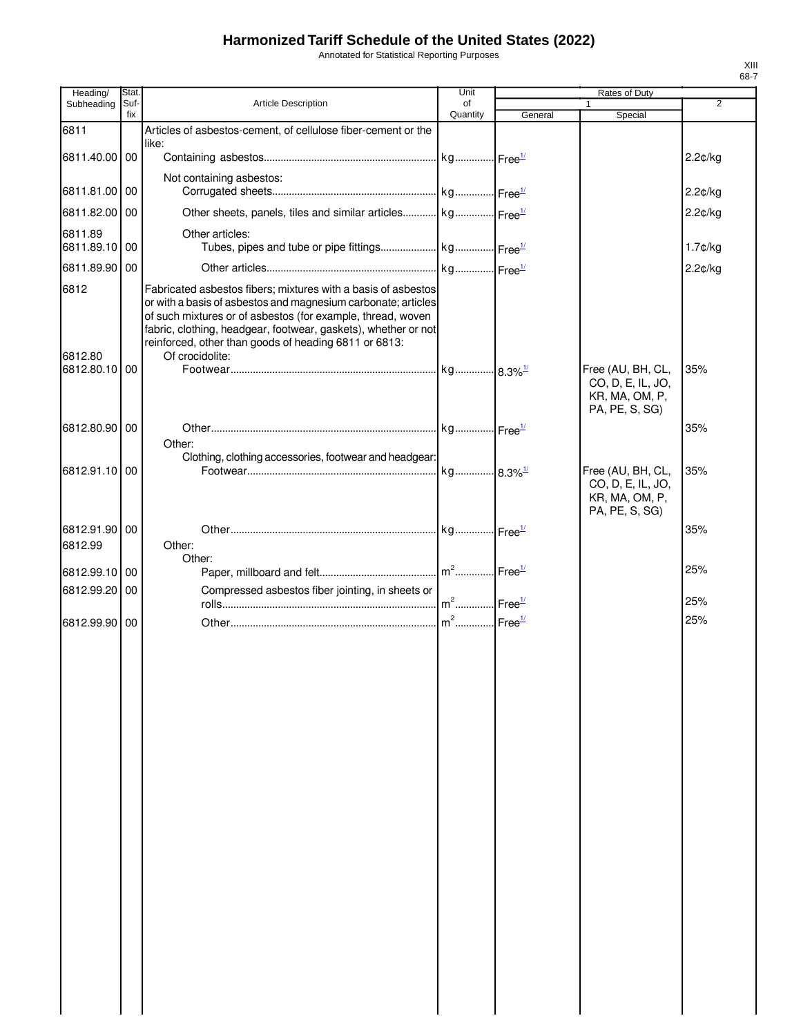Annotated for Statistical Reporting Purposes

| Heading/                         | Stat.       |                                                                                                                                                                                                                                                                                                                                             | Unit                              |         | Rates of Duty                                                              |                    |
|----------------------------------|-------------|---------------------------------------------------------------------------------------------------------------------------------------------------------------------------------------------------------------------------------------------------------------------------------------------------------------------------------------------|-----------------------------------|---------|----------------------------------------------------------------------------|--------------------|
| Subheading                       | Suf-<br>fix | <b>Article Description</b>                                                                                                                                                                                                                                                                                                                  | of<br>Quantity                    | General | Special                                                                    | $\overline{2}$     |
| 6811                             |             | Articles of asbestos-cement, of cellulose fiber-cement or the                                                                                                                                                                                                                                                                               |                                   |         |                                                                            |                    |
| 6811.40.00 00                    |             | like:                                                                                                                                                                                                                                                                                                                                       |                                   |         |                                                                            | 2.2¢/kg            |
| 6811.81.00 00                    |             | Not containing asbestos:                                                                                                                                                                                                                                                                                                                    |                                   |         |                                                                            | 2.2¢/kg            |
| 6811.82.00 00                    |             | Other sheets, panels, tiles and similar articles kg Free <sup>1/</sup>                                                                                                                                                                                                                                                                      |                                   |         |                                                                            | 2.2¢/kg            |
| 6811.89                          |             | Other articles:                                                                                                                                                                                                                                                                                                                             |                                   |         |                                                                            |                    |
| 6811.89.10 00                    |             |                                                                                                                                                                                                                                                                                                                                             |                                   |         |                                                                            | 1.7¢/kg<br>2.2¢/kg |
| 6811.89.90 00<br>6812<br>6812.80 |             | Fabricated asbestos fibers; mixtures with a basis of asbestos<br>or with a basis of asbestos and magnesium carbonate; articles<br>of such mixtures or of asbestos (for example, thread, woven<br>fabric, clothing, headgear, footwear, gaskets), whether or not<br>reinforced, other than goods of heading 6811 or 6813:<br>Of crocidolite: |                                   |         |                                                                            |                    |
| 6812.80.10 00                    |             |                                                                                                                                                                                                                                                                                                                                             |                                   |         | Free (AU, BH, CL,<br>CO, D, E, IL, JO,<br>KR, MA, OM, P,<br>PA, PE, S, SG) | 35%                |
| 6812.80.90 00                    |             | Other:                                                                                                                                                                                                                                                                                                                                      |                                   |         |                                                                            | 35%                |
|                                  |             | Clothing, clothing accessories, footwear and headgear:                                                                                                                                                                                                                                                                                      |                                   |         |                                                                            |                    |
| 6812.91.10 00                    |             |                                                                                                                                                                                                                                                                                                                                             |                                   |         | Free (AU, BH, CL,<br>CO, D, E, IL, JO,<br>KR, MA, OM, P,<br>PA, PE, S, SG) | 35%                |
| 6812.91.90<br>6812.99            | 00          | Other:                                                                                                                                                                                                                                                                                                                                      |                                   |         |                                                                            | 35%                |
| 6812.99.10 00                    |             | Other:                                                                                                                                                                                                                                                                                                                                      |                                   |         |                                                                            | 25%                |
| 6812.99.20 00                    |             | Compressed asbestos fiber jointing, in sheets or                                                                                                                                                                                                                                                                                            |                                   |         |                                                                            |                    |
|                                  |             |                                                                                                                                                                                                                                                                                                                                             |                                   |         |                                                                            | 25%                |
| 6812.99.90 00                    |             |                                                                                                                                                                                                                                                                                                                                             | m <sup>2</sup> Free <sup>1/</sup> |         |                                                                            | 25%                |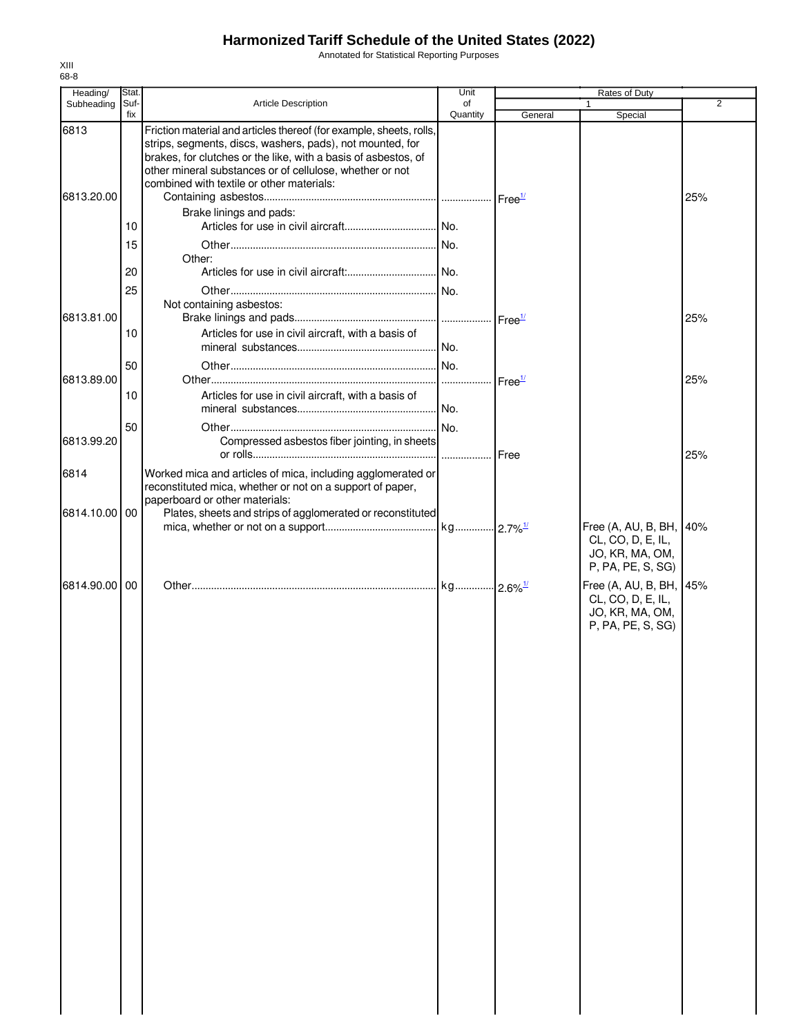Annotated for Statistical Reporting Purposes

| Heading/           | Stat.                 |                                                                                                                                                                                                                                                                                                             | Unit           |                               | Rates of Duty                                                                    |                |
|--------------------|-----------------------|-------------------------------------------------------------------------------------------------------------------------------------------------------------------------------------------------------------------------------------------------------------------------------------------------------------|----------------|-------------------------------|----------------------------------------------------------------------------------|----------------|
| Subheading         | Suf-<br>fix           | <b>Article Description</b>                                                                                                                                                                                                                                                                                  | of<br>Quantity | General                       | $\mathbf{1}$<br>Special                                                          | $\overline{2}$ |
| 6813<br>6813.20.00 |                       | Friction material and articles thereof (for example, sheets, rolls,<br>strips, segments, discs, washers, pads), not mounted, for<br>brakes, for clutches or the like, with a basis of asbestos, of<br>other mineral substances or of cellulose, whether or not<br>combined with textile or other materials: |                |                               |                                                                                  | 25%            |
|                    | 10 <sup>°</sup><br>15 | Brake linings and pads:<br>Other:                                                                                                                                                                                                                                                                           |                |                               |                                                                                  |                |
| 6813.81.00         | 20<br>25              | Not containing asbestos:                                                                                                                                                                                                                                                                                    |                |                               |                                                                                  | 25%            |
|                    | 10<br>50              | Articles for use in civil aircraft, with a basis of                                                                                                                                                                                                                                                         |                |                               |                                                                                  |                |
| 6813.89.00         | 10                    | Articles for use in civil aircraft, with a basis of                                                                                                                                                                                                                                                         |                | $\textsf{Free}^{\frac{1}{2}}$ |                                                                                  | 25%            |
| 6813.99.20<br>6814 | 50                    | Compressed asbestos fiber jointing, in sheets<br>Worked mica and articles of mica, including agglomerated or                                                                                                                                                                                                |                | Free                          |                                                                                  | 25%            |
| 6814.10.00 00      |                       | reconstituted mica, whether or not on a support of paper,<br>paperboard or other materials:<br>Plates, sheets and strips of agglomerated or reconstituted                                                                                                                                                   |                |                               |                                                                                  |                |
|                    |                       |                                                                                                                                                                                                                                                                                                             |                |                               | Free (A, AU, B, BH,<br>CL, CO, D, E, IL,<br>JO, KR, MA, OM,<br>P, PA, PE, S, SG) | 40%            |
| 6814.90.00 00      |                       |                                                                                                                                                                                                                                                                                                             |                |                               | Free (A, AU, B, BH,<br>CL, CO, D, E, IL,<br>JO, KR, MA, OM,<br>P, PA, PE, S, SG) | 45%            |
|                    |                       |                                                                                                                                                                                                                                                                                                             |                |                               |                                                                                  |                |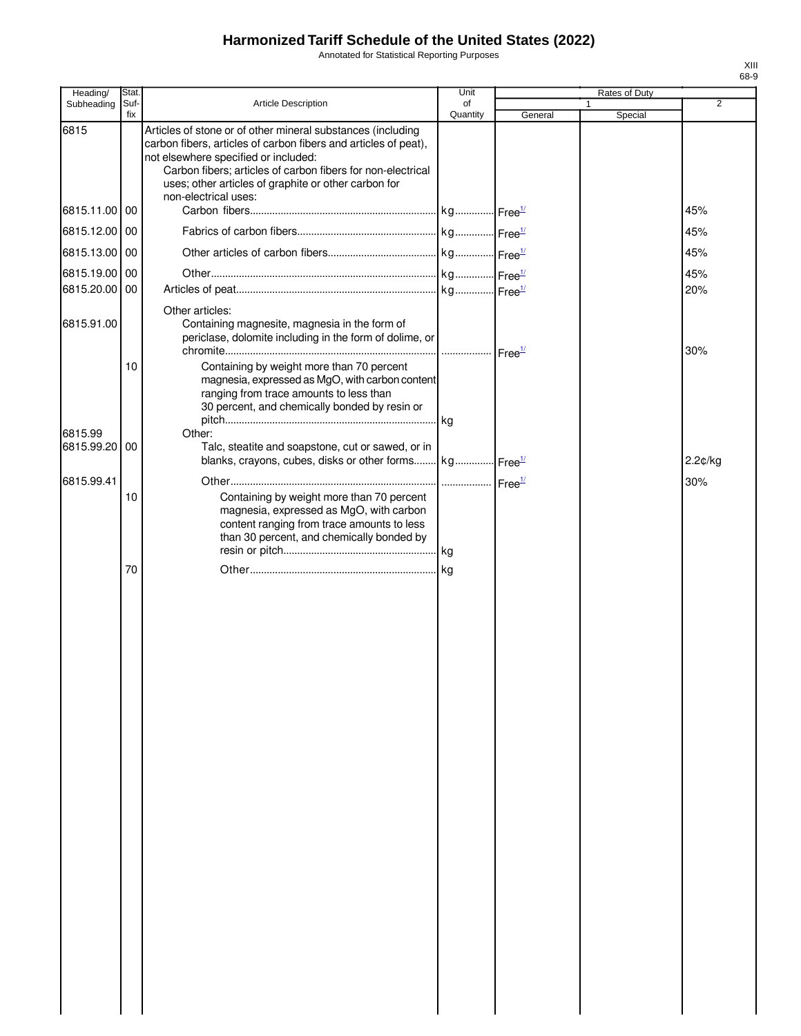Annotated for Statistical Reporting Purposes

| Heading/      | Stat.       |                                                                                                                                                                                                                                                                                                                       | Unit           |         | Rates of Duty |                |
|---------------|-------------|-----------------------------------------------------------------------------------------------------------------------------------------------------------------------------------------------------------------------------------------------------------------------------------------------------------------------|----------------|---------|---------------|----------------|
| Subheading    | Suf-<br>fix | <b>Article Description</b>                                                                                                                                                                                                                                                                                            | of<br>Quantity | General | Special       | $\overline{2}$ |
| 6815          |             | Articles of stone or of other mineral substances (including<br>carbon fibers, articles of carbon fibers and articles of peat),<br>not elsewhere specified or included:<br>Carbon fibers; articles of carbon fibers for non-electrical<br>uses; other articles of graphite or other carbon for<br>non-electrical uses: |                |         |               |                |
| 6815.11.00    | 00          |                                                                                                                                                                                                                                                                                                                       |                |         |               | 45%            |
| 6815.12.00    | 00          |                                                                                                                                                                                                                                                                                                                       |                |         |               | 45%            |
| 6815.13.00 00 |             |                                                                                                                                                                                                                                                                                                                       |                |         |               | 45%            |
| 6815.19.00    | 00          |                                                                                                                                                                                                                                                                                                                       |                |         |               | 45%            |
| 6815.20.00 00 |             |                                                                                                                                                                                                                                                                                                                       |                |         |               | 20%            |
| 6815.91.00    |             | Other articles:<br>Containing magnesite, magnesia in the form of<br>periclase, dolomite including in the form of dolime, or                                                                                                                                                                                           |                |         |               | 30%            |
| 6815.99       | 10          | Containing by weight more than 70 percent<br>magnesia, expressed as MgO, with carbon content<br>ranging from trace amounts to less than<br>30 percent, and chemically bonded by resin or<br>Other:                                                                                                                    | . kg           |         |               |                |
| 6815.99.20    | 00          | Talc, steatite and soapstone, cut or sawed, or in                                                                                                                                                                                                                                                                     |                |         |               |                |
|               |             | blanks, crayons, cubes, disks or other forms kg Free <sup>1/</sup>                                                                                                                                                                                                                                                    |                |         |               | 2.2¢/kg        |
| 6815.99.41    | 10          | Containing by weight more than 70 percent<br>magnesia, expressed as MgO, with carbon<br>content ranging from trace amounts to less<br>than 30 percent, and chemically bonded by                                                                                                                                       |                |         |               | 30%            |
|               | 70          |                                                                                                                                                                                                                                                                                                                       |                |         |               |                |
|               |             |                                                                                                                                                                                                                                                                                                                       |                |         |               |                |